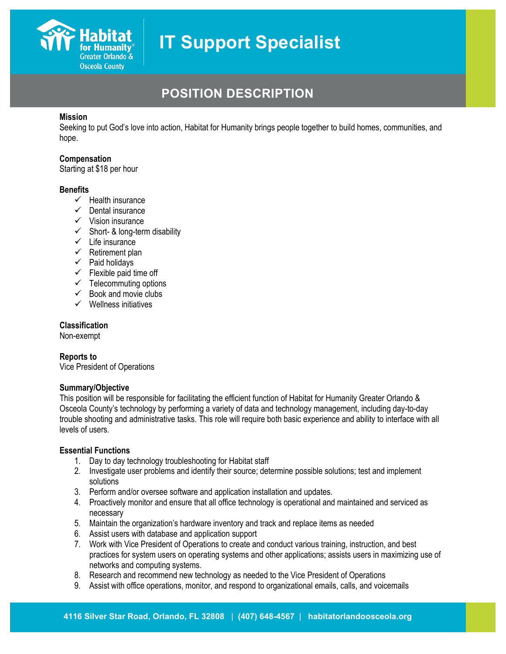

## **POSITION DESCRIPTION**

#### **Mission**

Seeking to put God's love into action, Habitat for Humanity brings people together to build homes, communities, and hope.

#### **Compensation**

Starting at \$18 per hour

#### **Benefits**

- $\checkmark$  Health insurance
- $\checkmark$  Dental insurance
- $\checkmark$  Vision insurance
- $\checkmark$  Short- & long-term disability
- $\checkmark$  Life insurance
- $\checkmark$  Retirement plan
- $\checkmark$  Paid holidays
- $\checkmark$  Flexible paid time off
- $\checkmark$  Telecommuting options
- $\checkmark$  Book and movie clubs
- $\checkmark$  Wellness initiatives

#### **Classification**

Non-exempt

#### **Reports to**

Vice President of Operations

#### **Summary/Objective**

This position will be responsible for facilitating the efficient function of Habitat for Humanity Greater Orlando & Osceola County's technology by performing a variety of data and technology management, including day-to-day trouble shooting and administrative tasks. This role will require both basic experience and ability to interface with all levels of users.

#### **Essential Functions**

- 1. Day to day technology troubleshooting for Habitat staff
- 2. Investigate user problems and identify their source; determine possible solutions; test and implement solutions
- 3. Perform and/or oversee software and application installation and updates.
- 4. Proactively monitor and ensure that all office technology is operational and maintained and serviced as necessary
- 5. Maintain the organization's hardware inventory and track and replace items as needed
- 6. Assist users with database and application support
- 7. Work with Vice President of Operations to create and conduct various training, instruction, and best practices for system users on operating systems and other applications; assists users in maximizing use of networks and computing systems.
- 8. Research and recommend new technology as needed to the Vice President of Operations
- 9. Assist with office operations, monitor, and respond to organizational emails, calls, and voicemails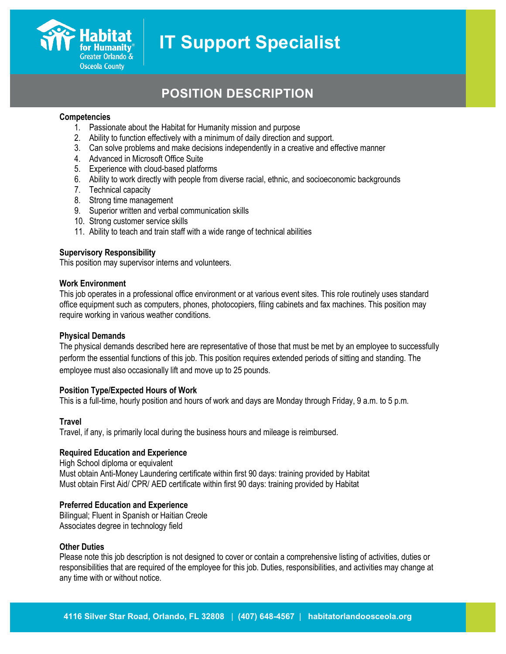

## **POSITION DESCRIPTION**

#### **Competencies**

- 1. Passionate about the Habitat for Humanity mission and purpose
- 2. Ability to function effectively with a minimum of daily direction and support.
- 3. Can solve problems and make decisions independently in a creative and effective manner
- 4. Advanced in Microsoft Office Suite
- 5. Experience with cloud-based platforms
- 6. Ability to work directly with people from diverse racial, ethnic, and socioeconomic backgrounds
- 7. Technical capacity
- 8. Strong time management
- 9. Superior written and verbal communication skills
- 10. Strong customer service skills
- 11. Ability to teach and train staff with a wide range of technical abilities

#### **Supervisory Responsibility**

This position may supervisor interns and volunteers.

#### **Work Environment**

This job operates in a professional office environment or at various event sites. This role routinely uses standard office equipment such as computers, phones, photocopiers, filing cabinets and fax machines. This position may require working in various weather conditions.

#### **Physical Demands**

The physical demands described here are representative of those that must be met by an employee to successfully perform the essential functions of this job. This position requires extended periods of sitting and standing. The employee must also occasionally lift and move up to 25 pounds.

#### **Position Type/Expected Hours of Work**

This is a full-time, hourly position and hours of work and days are Monday through Friday, 9 a.m. to 5 p.m.

#### **Travel**

Travel, if any, is primarily local during the business hours and mileage is reimbursed.

#### **Required Education and Experience**

High School diploma or equivalent Must obtain Anti-Money Laundering certificate within first 90 days: training provided by Habitat Must obtain First Aid/ CPR/ AED certificate within first 90 days: training provided by Habitat

#### **Preferred Education and Experience**

Bilingual; Fluent in Spanish or Haitian Creole Associates degree in technology field

#### **Other Duties**

Please note this job description is not designed to cover or contain a comprehensive listing of activities, duties or responsibilities that are required of the employee for this job. Duties, responsibilities, and activities may change at any time with or without notice.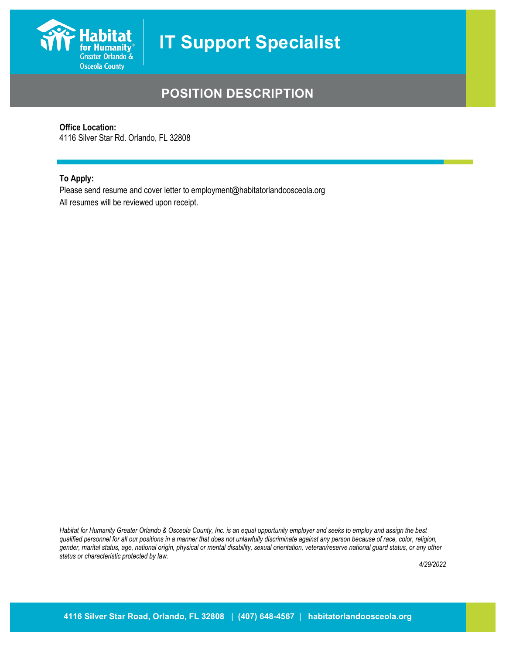

## **POSITION DESCRIPTION**

#### **Office Location:**

4116 Silver Star Rd. Orlando, FL 32808

#### **To Apply:**

Please send resume and cover letter to employment@habitatorlandoosceola.org All resumes will be reviewed upon receipt.

*Habitat for Humanity Greater Orlando & Osceola County, Inc. is an equal opportunity employer and seeks to employ and assign the best qualified personnel for all our positions in a manner that does not unlawfully discriminate against any person because of race, color, religion, gender, marital status, age, national origin, physical or mental disability, sexual orientation, veteran/reserve national guard status, or any other status or characteristic protected by law.*

*4/29/2022*